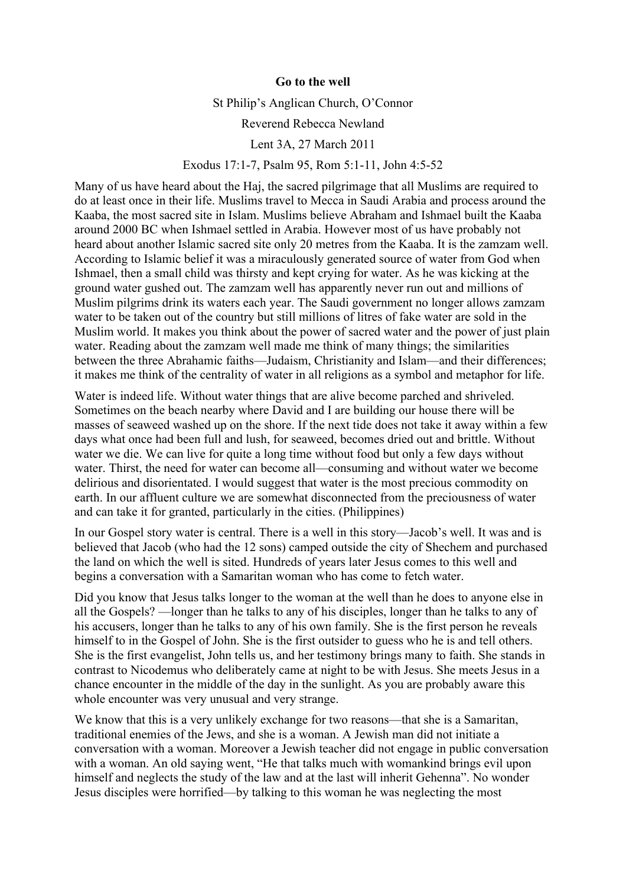## **Go to the well**

St Philip's Anglican Church, O'Connor

## Reverend Rebecca Newland

## Lent 3A, 27 March 2011

## Exodus 17:1-7, Psalm 95, Rom 5:1-11, John 4:5-52

Many of us have heard about the Haj, the sacred pilgrimage that all Muslims are required to do at least once in their life. Muslims travel to Mecca in Saudi Arabia and process around the Kaaba, the most sacred site in Islam. Muslims believe Abraham and Ishmael built the Kaaba around 2000 BC when Ishmael settled in Arabia. However most of us have probably not heard about another Islamic sacred site only 20 metres from the Kaaba. It is the zamzam well. According to Islamic belief it was a miraculously generated source of water from God when Ishmael, then a small child was thirsty and kept crying for water. As he was kicking at the ground water gushed out. The zamzam well has apparently never run out and millions of Muslim pilgrims drink its waters each year. The Saudi government no longer allows zamzam water to be taken out of the country but still millions of litres of fake water are sold in the Muslim world. It makes you think about the power of sacred water and the power of just plain water. Reading about the zamzam well made me think of many things; the similarities between the three Abrahamic faiths—Judaism, Christianity and Islam—and their differences; it makes me think of the centrality of water in all religions as a symbol and metaphor for life.

Water is indeed life. Without water things that are alive become parched and shriveled. Sometimes on the beach nearby where David and I are building our house there will be masses of seaweed washed up on the shore. If the next tide does not take it away within a few days what once had been full and lush, for seaweed, becomes dried out and brittle. Without water we die. We can live for quite a long time without food but only a few days without water. Thirst, the need for water can become all—consuming and without water we become delirious and disorientated. I would suggest that water is the most precious commodity on earth. In our affluent culture we are somewhat disconnected from the preciousness of water and can take it for granted, particularly in the cities. (Philippines)

In our Gospel story water is central. There is a well in this story—Jacob's well. It was and is believed that Jacob (who had the 12 sons) camped outside the city of Shechem and purchased the land on which the well is sited. Hundreds of years later Jesus comes to this well and begins a conversation with a Samaritan woman who has come to fetch water.

Did you know that Jesus talks longer to the woman at the well than he does to anyone else in all the Gospels? —longer than he talks to any of his disciples, longer than he talks to any of his accusers, longer than he talks to any of his own family. She is the first person he reveals himself to in the Gospel of John. She is the first outsider to guess who he is and tell others. She is the first evangelist, John tells us, and her testimony brings many to faith. She stands in contrast to Nicodemus who deliberately came at night to be with Jesus. She meets Jesus in a chance encounter in the middle of the day in the sunlight. As you are probably aware this whole encounter was very unusual and very strange.

We know that this is a very unlikely exchange for two reasons—that she is a Samaritan, traditional enemies of the Jews, and she is a woman. A Jewish man did not initiate a conversation with a woman. Moreover a Jewish teacher did not engage in public conversation with a woman. An old saying went, "He that talks much with womankind brings evil upon himself and neglects the study of the law and at the last will inherit Gehenna". No wonder Jesus disciples were horrified—by talking to this woman he was neglecting the most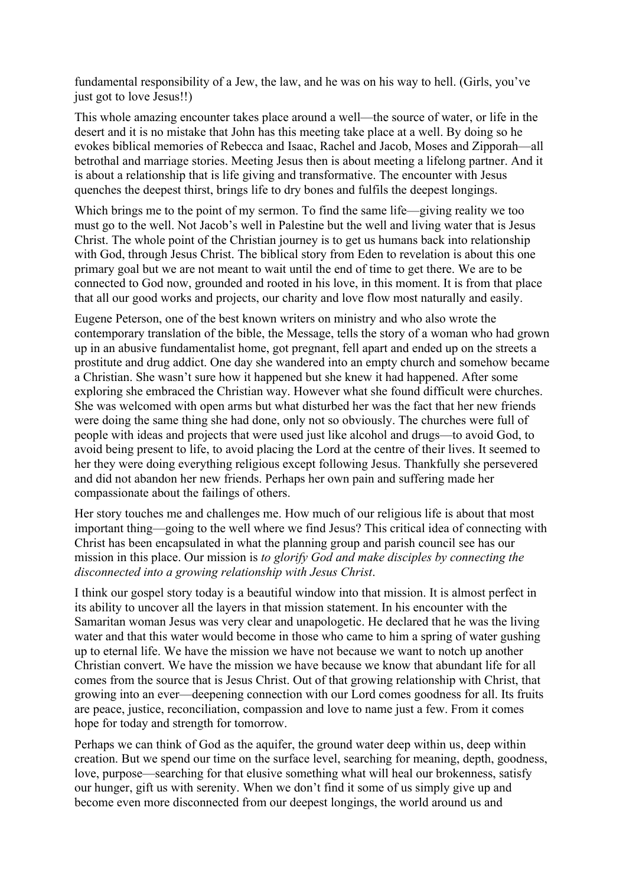fundamental responsibility of a Jew, the law, and he was on his way to hell. (Girls, you've just got to love Jesus!!)

This whole amazing encounter takes place around a well—the source of water, or life in the desert and it is no mistake that John has this meeting take place at a well. By doing so he evokes biblical memories of Rebecca and Isaac, Rachel and Jacob, Moses and Zipporah—all betrothal and marriage stories. Meeting Jesus then is about meeting a lifelong partner. And it is about a relationship that is life giving and transformative. The encounter with Jesus quenches the deepest thirst, brings life to dry bones and fulfils the deepest longings.

Which brings me to the point of my sermon. To find the same life—giving reality we too must go to the well. Not Jacob's well in Palestine but the well and living water that is Jesus Christ. The whole point of the Christian journey is to get us humans back into relationship with God, through Jesus Christ. The biblical story from Eden to revelation is about this one primary goal but we are not meant to wait until the end of time to get there. We are to be connected to God now, grounded and rooted in his love, in this moment. It is from that place that all our good works and projects, our charity and love flow most naturally and easily.

Eugene Peterson, one of the best known writers on ministry and who also wrote the contemporary translation of the bible, the Message, tells the story of a woman who had grown up in an abusive fundamentalist home, got pregnant, fell apart and ended up on the streets a prostitute and drug addict. One day she wandered into an empty church and somehow became a Christian. She wasn't sure how it happened but she knew it had happened. After some exploring she embraced the Christian way. However what she found difficult were churches. She was welcomed with open arms but what disturbed her was the fact that her new friends were doing the same thing she had done, only not so obviously. The churches were full of people with ideas and projects that were used just like alcohol and drugs—to avoid God, to avoid being present to life, to avoid placing the Lord at the centre of their lives. It seemed to her they were doing everything religious except following Jesus. Thankfully she persevered and did not abandon her new friends. Perhaps her own pain and suffering made her compassionate about the failings of others.

Her story touches me and challenges me. How much of our religious life is about that most important thing—going to the well where we find Jesus? This critical idea of connecting with Christ has been encapsulated in what the planning group and parish council see has our mission in this place. Our mission is *to glorify God and make disciples by connecting the disconnected into a growing relationship with Jesus Christ*.

I think our gospel story today is a beautiful window into that mission. It is almost perfect in its ability to uncover all the layers in that mission statement. In his encounter with the Samaritan woman Jesus was very clear and unapologetic. He declared that he was the living water and that this water would become in those who came to him a spring of water gushing up to eternal life. We have the mission we have not because we want to notch up another Christian convert. We have the mission we have because we know that abundant life for all comes from the source that is Jesus Christ. Out of that growing relationship with Christ, that growing into an ever—deepening connection with our Lord comes goodness for all. Its fruits are peace, justice, reconciliation, compassion and love to name just a few. From it comes hope for today and strength for tomorrow.

Perhaps we can think of God as the aquifer, the ground water deep within us, deep within creation. But we spend our time on the surface level, searching for meaning, depth, goodness, love, purpose—searching for that elusive something what will heal our brokenness, satisfy our hunger, gift us with serenity. When we don't find it some of us simply give up and become even more disconnected from our deepest longings, the world around us and